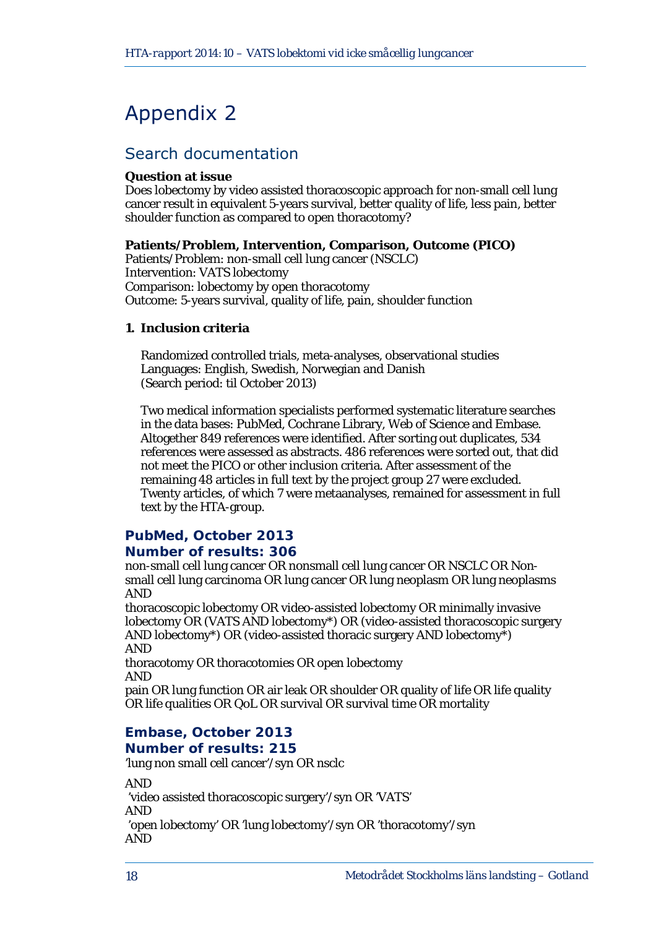# Appendix 2

# Search documentation

#### **Question at issue**

Does lobectomy by video assisted thoracoscopic approach for non-small cell lung cancer result in equivalent 5-years survival, better quality of life, less pain, better shoulder function as compared to open thoracotomy?

#### **Patients/Problem, Intervention, Comparison, Outcome (PICO)**

Patients/Problem: non-small cell lung cancer (NSCLC) Intervention: VATS lobectomy Comparison: lobectomy by open thoracotomy Outcome: 5-years survival, quality of life, pain, shoulder function

#### **1. Inclusion criteria**

Randomized controlled trials, meta-analyses, observational studies Languages: English, Swedish, Norwegian and Danish (Search period: til October 2013)

Two medical information specialists performed systematic literature searches in the data bases: PubMed, Cochrane Library, Web of Science and Embase. Altogether 849 references were identified. After sorting out duplicates, 534 references were assessed as abstracts. 486 references were sorted out, that did not meet the PICO or other inclusion criteria. After assessment of the remaining 48 articles in full text by the project group 27 were excluded. Twenty articles, of which 7 were metaanalyses, remained for assessment in full text by the HTA-group.

# **PubMed, October 2013**

#### **Number of results: 306**

non-small cell lung cancer OR nonsmall cell lung cancer OR NSCLC OR Nonsmall cell lung carcinoma OR lung cancer OR lung neoplasm OR lung neoplasms AND

thoracoscopic lobectomy OR video-assisted lobectomy OR minimally invasive lobectomy OR (VATS AND lobectomy\*) OR (video-assisted thoracoscopic surgery AND lobectomy\*) OR (video-assisted thoracic surgery AND lobectomy\*) AND

thoracotomy OR thoracotomies OR open lobectomy AND

pain OR lung function OR air leak OR shoulder OR quality of life OR life quality OR life qualities OR QoL OR survival OR survival time OR mortality

#### **Embase, October 2013 Number of results: 215**

'lung non small cell cancer'/syn OR nsclc

AND 'video assisted thoracoscopic surgery'/syn OR 'VATS' AND 'open lobectomy' OR 'lung lobectomy'/syn OR 'thoracotomy'/syn AND